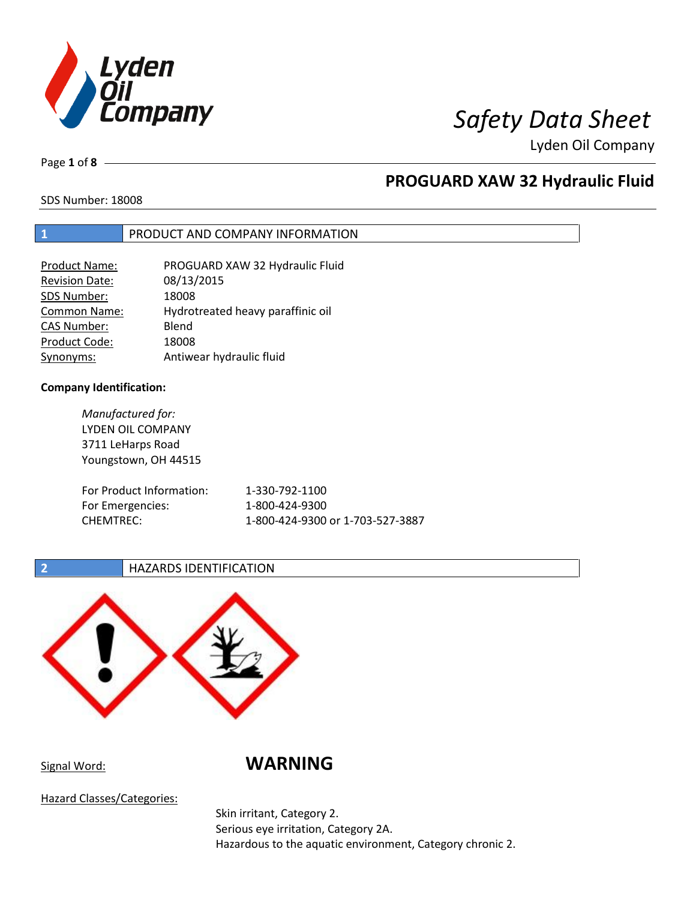

Page **1** of **8**

## **PROGUARD XAW 32 Hydraulic Fluid**

SDS Number: 18008

## **1** PRODUCT AND COMPANY INFORMATION

| <b>Product Name:</b>  | PROGUARD XAW 32 Hydraulic Fluid   |
|-----------------------|-----------------------------------|
| <b>Revision Date:</b> | 08/13/2015                        |
| SDS Number:           | 18008                             |
| <b>Common Name:</b>   | Hydrotreated heavy paraffinic oil |
| <b>CAS Number:</b>    | Blend                             |
| Product Code:         | 18008                             |
| Synonyms:             | Antiwear hydraulic fluid          |

### **Company Identification:**

*Manufactured for:* LYDEN OIL COMPANY 3711 LeHarps Road Youngstown, OH 44515 For Product Information: 1-330-792-1100 For Emergencies: 1-800-424-9300 CHEMTREC: 1-800-424-9300 or 1-703-527-3887

## **2 HAZARDS IDENTIFICATION**



Signal Word: **WARNING**

Hazard Classes/Categories:

Skin irritant, Category 2. Serious eye irritation, Category 2A. Hazardous to the aquatic environment, Category chronic 2.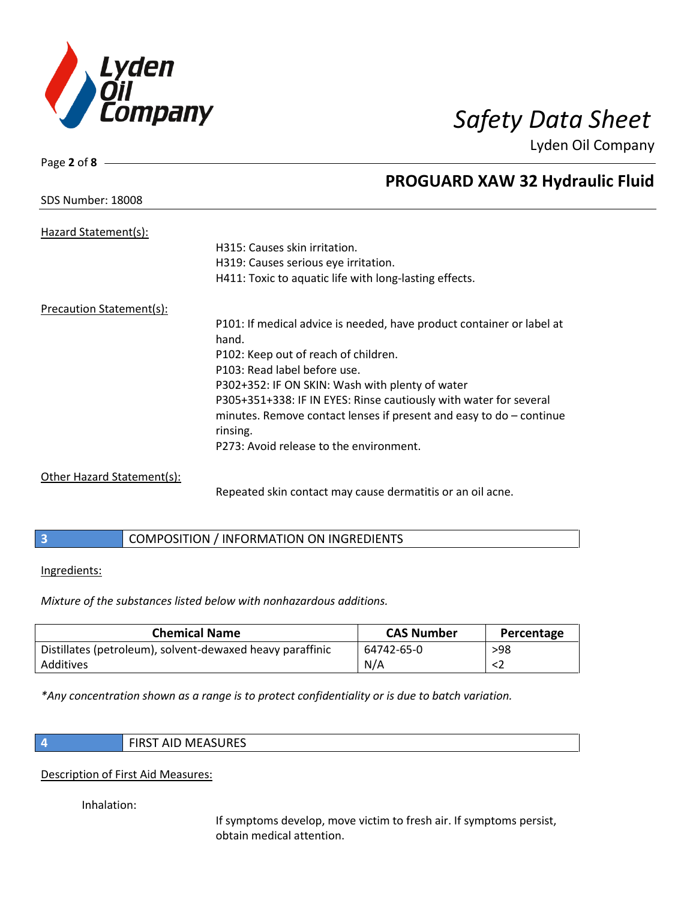

SDS Number: 18008

Page **2** of **8**

## **PROGUARD XAW 32 Hydraulic Fluid**

| Hazard Statement(s):       |                                                                       |
|----------------------------|-----------------------------------------------------------------------|
|                            | H315: Causes skin irritation.                                         |
|                            | H319: Causes serious eye irritation.                                  |
|                            | H411: Toxic to aquatic life with long-lasting effects.                |
| Precaution Statement(s):   |                                                                       |
|                            | P101: If medical advice is needed, have product container or label at |
|                            | hand.                                                                 |
|                            | P102: Keep out of reach of children.                                  |
|                            | P103: Read label before use.                                          |
|                            | P302+352: IF ON SKIN: Wash with plenty of water                       |
|                            | P305+351+338: IF IN EYES: Rinse cautiously with water for several     |
|                            | minutes. Remove contact lenses if present and easy to $do$ – continue |
|                            | rinsing.                                                              |
|                            | P273: Avoid release to the environment.                               |
| Other Hazard Statement(s): |                                                                       |

Repeated skin contact may cause dermatitis or an oil acne.

|  | COMPOSITION / INFORMATION ON INGREDIENTS |
|--|------------------------------------------|
|--|------------------------------------------|

### Ingredients:

*Mixture of the substances listed below with nonhazardous additions.*

| <b>Chemical Name</b>                                      | <b>CAS Number</b> | Percentage |
|-----------------------------------------------------------|-------------------|------------|
| Distillates (petroleum), solvent-dewaxed heavy paraffinic | 64742-65-0        | >98        |
| Additives                                                 | N/A               |            |

*\*Any concentration shown as a range is to protect confidentiality or is due to batch variation.*

**4** FIRST AID MEASURES

### Description of First Aid Measures:

Inhalation:

If symptoms develop, move victim to fresh air. If symptoms persist, obtain medical attention.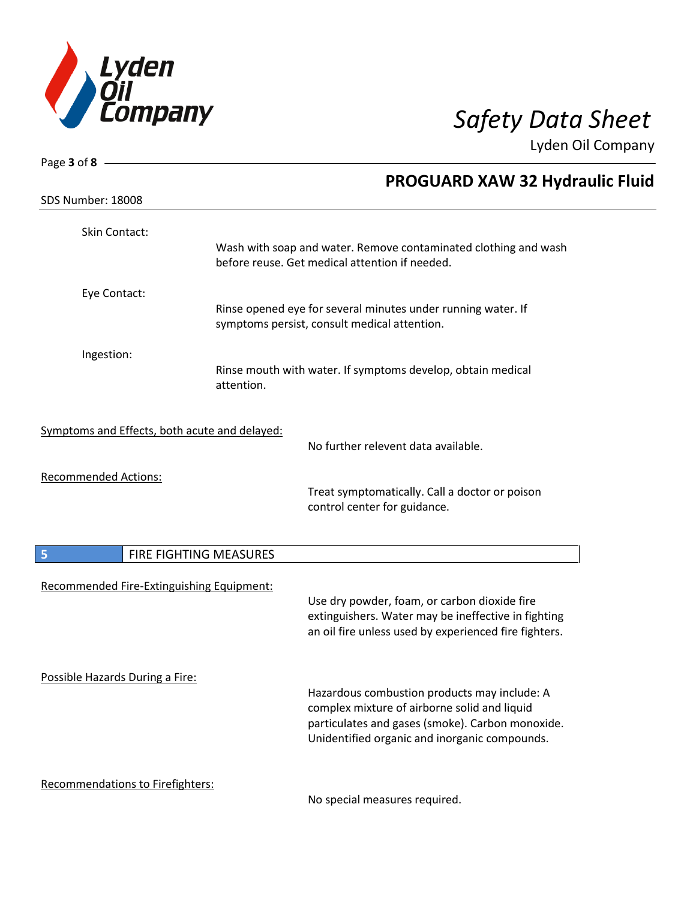

| Page 3 of 8 -                                 |                        |                                                                                                                                                                                                   |
|-----------------------------------------------|------------------------|---------------------------------------------------------------------------------------------------------------------------------------------------------------------------------------------------|
|                                               |                        | <b>PROGUARD XAW 32 Hydraulic Fluid</b>                                                                                                                                                            |
| SDS Number: 18008                             |                        |                                                                                                                                                                                                   |
| Skin Contact:                                 |                        |                                                                                                                                                                                                   |
|                                               |                        | Wash with soap and water. Remove contaminated clothing and wash<br>before reuse. Get medical attention if needed.                                                                                 |
| Eye Contact:                                  |                        |                                                                                                                                                                                                   |
|                                               |                        | Rinse opened eye for several minutes under running water. If<br>symptoms persist, consult medical attention.                                                                                      |
| Ingestion:                                    |                        |                                                                                                                                                                                                   |
|                                               | attention.             | Rinse mouth with water. If symptoms develop, obtain medical                                                                                                                                       |
| Symptoms and Effects, both acute and delayed: |                        |                                                                                                                                                                                                   |
|                                               |                        | No further relevent data available.                                                                                                                                                               |
| <b>Recommended Actions:</b>                   |                        | Treat symptomatically. Call a doctor or poison<br>control center for guidance.                                                                                                                    |
| $-5$                                          | FIRE FIGHTING MEASURES |                                                                                                                                                                                                   |
| Recommended Fire-Extinguishing Equipment:     |                        | Use dry powder, foam, or carbon dioxide fire<br>extinguishers. Water may be ineffective in fighting<br>an oil fire unless used by experienced fire fighters.                                      |
| Possible Hazards During a Fire:               |                        | Hazardous combustion products may include: A<br>complex mixture of airborne solid and liquid<br>particulates and gases (smoke). Carbon monoxide.<br>Unidentified organic and inorganic compounds. |
| Recommendations to Firefighters:              |                        | No coocial moneures required                                                                                                                                                                      |

No special measures required.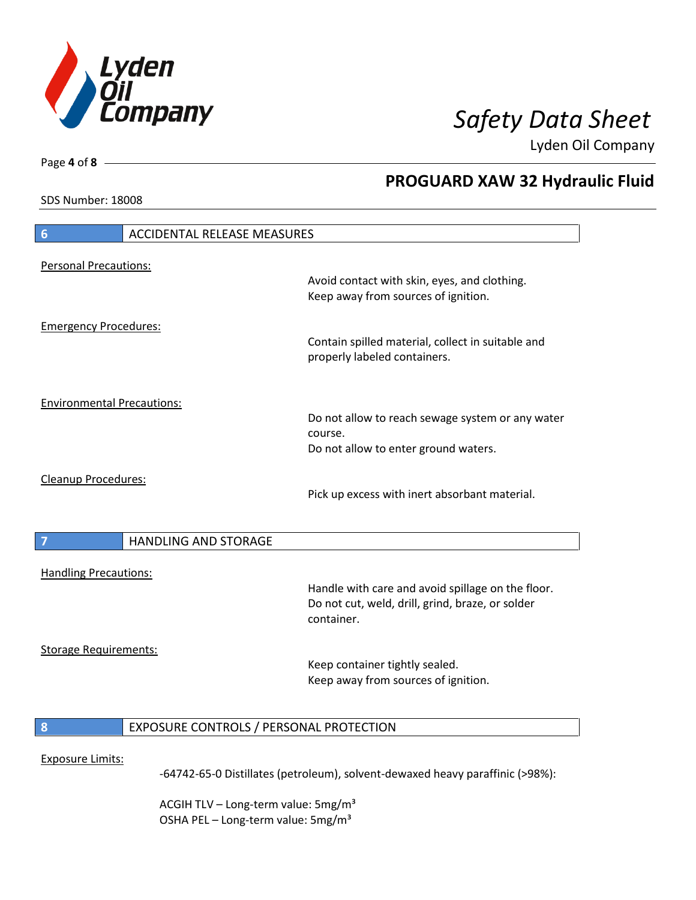

**PROGUARD XAW 32 Hydraulic Fluid**

Lyden Oil Company

SDS Number: 18008

Page **4** of **8**

# **6** ACCIDENTAL RELEASE MEASURES Personal Precautions: Avoid contact with skin, eyes, and clothing. Keep away from sources of ignition. Emergency Procedures: Contain spilled material, collect in suitable and properly labeled containers. Environmental Precautions: Do not allow to reach sewage system or any water course. Do not allow to enter ground waters. Cleanup Procedures: Pick up excess with inert absorbant material. **7 HANDLING AND STORAGE** Handling Precautions: Handle with care and avoid spillage on the floor. Do not cut, weld, drill, grind, braze, or solder container. Storage Requirements: Keep container tightly sealed. Keep away from sources of ignition. **8** EXPOSURE CONTROLS / PERSONAL PROTECTION Exposure Limits: -64742-65-0 Distillates (petroleum), solvent-dewaxed heavy paraffinic (>98%):

ACGIH TLV – Long-term value:  $5\,\text{mg/m}^3$ OSHA PEL - Long-term value: 5mg/m<sup>3</sup>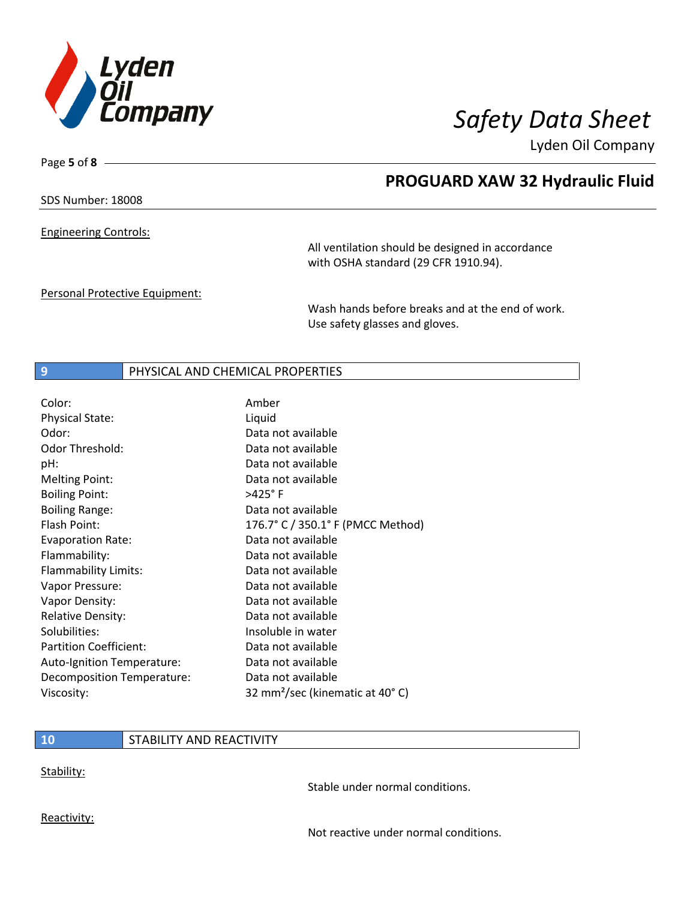

Page **5** of **8**

## **PROGUARD XAW 32 Hydraulic Fluid**

SDS Number: 18008

Engineering Controls:

All ventilation should be designed in accordance with OSHA standard (29 CFR 1910.94).

Personal Protective Equipment:

Wash hands before breaks and at the end of work. Use safety glasses and gloves.

### **9** PHYSICAL AND CHEMICAL PROPERTIES

| Color:                        | Amber                                       |
|-------------------------------|---------------------------------------------|
| <b>Physical State:</b>        | Liquid                                      |
| Odor:                         | Data not available                          |
| <b>Odor Threshold:</b>        | Data not available                          |
| pH:                           | Data not available                          |
| <b>Melting Point:</b>         | Data not available                          |
| <b>Boiling Point:</b>         | $>425^\circ$ F                              |
| <b>Boiling Range:</b>         | Data not available                          |
| Flash Point:                  | 176.7° C / 350.1° F (PMCC Method)           |
| <b>Evaporation Rate:</b>      | Data not available                          |
| Flammability:                 | Data not available                          |
| Flammability Limits:          | Data not available                          |
| Vapor Pressure:               | Data not available                          |
| Vapor Density:                | Data not available                          |
| <b>Relative Density:</b>      | Data not available                          |
| Solubilities:                 | Insoluble in water                          |
| <b>Partition Coefficient:</b> | Data not available                          |
| Auto-Ignition Temperature:    | Data not available                          |
| Decomposition Temperature:    | Data not available                          |
| Viscosity:                    | 32 mm <sup>2</sup> /sec (kinematic at 40°C) |

## **10** STABILITY AND REACTIVITY

Stability:

Stable under normal conditions.

Reactivity:

Not reactive under normal conditions.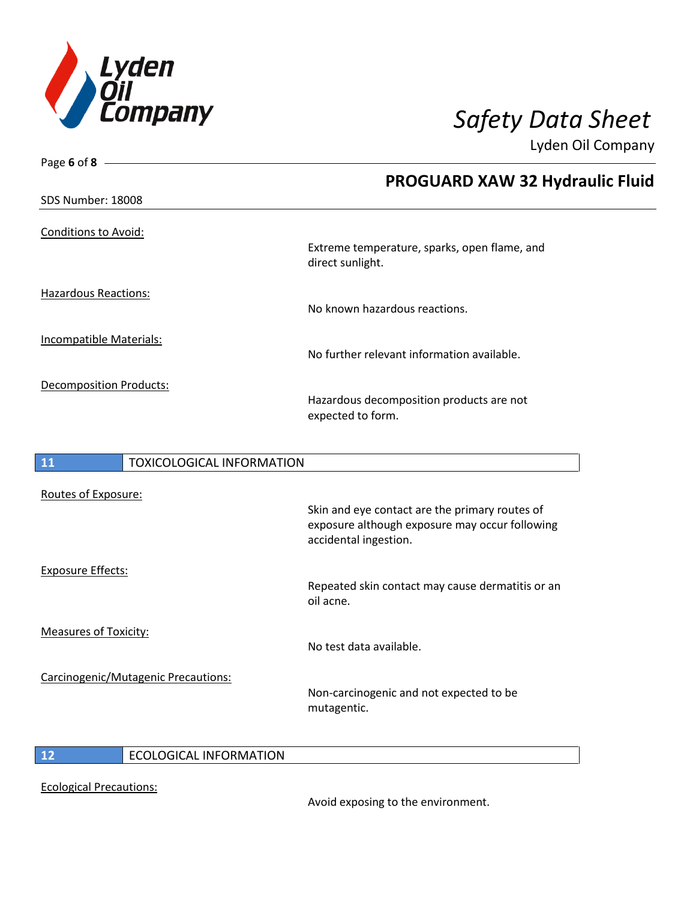

| Page 6 of 8                    |                                  |                                                                                                                           |
|--------------------------------|----------------------------------|---------------------------------------------------------------------------------------------------------------------------|
|                                |                                  | PROGUARD XAW 32 Hydraulic Fluid                                                                                           |
| SDS Number: 18008              |                                  |                                                                                                                           |
| Conditions to Avoid:           |                                  | Extreme temperature, sparks, open flame, and<br>direct sunlight.                                                          |
| <b>Hazardous Reactions:</b>    |                                  | No known hazardous reactions.                                                                                             |
| Incompatible Materials:        |                                  | No further relevant information available.                                                                                |
| <b>Decomposition Products:</b> |                                  | Hazardous decomposition products are not<br>expected to form.                                                             |
|                                |                                  |                                                                                                                           |
| 11                             | <b>TOXICOLOGICAL INFORMATION</b> |                                                                                                                           |
| Routes of Exposure:            |                                  |                                                                                                                           |
|                                |                                  | Skin and eye contact are the primary routes of<br>exposure although exposure may occur following<br>accidental ingestion. |
| <b>Exposure Effects:</b>       |                                  |                                                                                                                           |

Measures of Toxicity:

Carcinogenic/Mutagenic Precautions:

Repeated skin contact may cause dermatitis or an oil acne.

No test data available.

Non-carcinogenic and not expected to be mutagentic.

 $\overline{\phantom{a}}$ 

**12** ECOLOGICAL INFORMATION

Ecological Precautions:

Avoid exposing to the environment.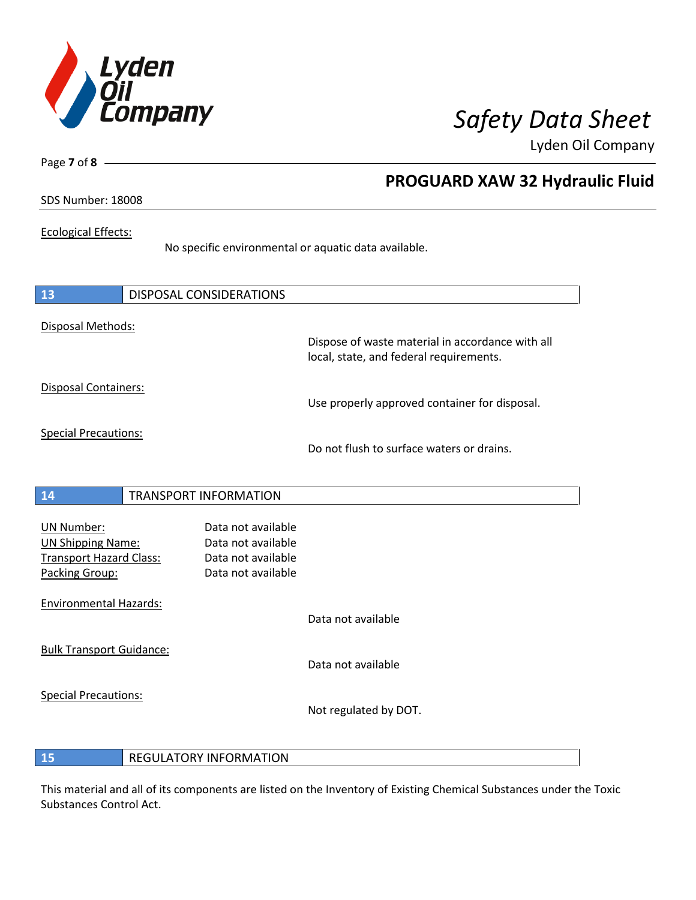

Page **7** of **8**

## **PROGUARD XAW 32 Hydraulic Fluid**

## SDS Number: 18008

### Ecological Effects:

No specific environmental or aquatic data available.

| <b>13</b>                                                                                  | <b>DISPOSAL CONSIDERATIONS</b>                                                       |                                                                                             |
|--------------------------------------------------------------------------------------------|--------------------------------------------------------------------------------------|---------------------------------------------------------------------------------------------|
| Disposal Methods:                                                                          |                                                                                      | Dispose of waste material in accordance with all<br>local, state, and federal requirements. |
| Disposal Containers:                                                                       |                                                                                      | Use properly approved container for disposal.                                               |
| <b>Special Precautions:</b>                                                                |                                                                                      | Do not flush to surface waters or drains.                                                   |
| <b>14</b>                                                                                  | <b>TRANSPORT INFORMATION</b>                                                         |                                                                                             |
| <b>UN Number:</b><br><b>UN Shipping Name:</b><br>Transport Hazard Class:<br>Packing Group: | Data not available<br>Data not available<br>Data not available<br>Data not available |                                                                                             |
| <b>Environmental Hazards:</b>                                                              |                                                                                      | Data not available                                                                          |
| <b>Bulk Transport Guidance:</b>                                                            |                                                                                      | Data not available                                                                          |
| <b>Special Precautions:</b>                                                                |                                                                                      | Not regulated by DOT.                                                                       |

**15** REGULATORY INFORMATION

This material and all of its components are listed on the Inventory of Existing Chemical Substances under the Toxic Substances Control Act.